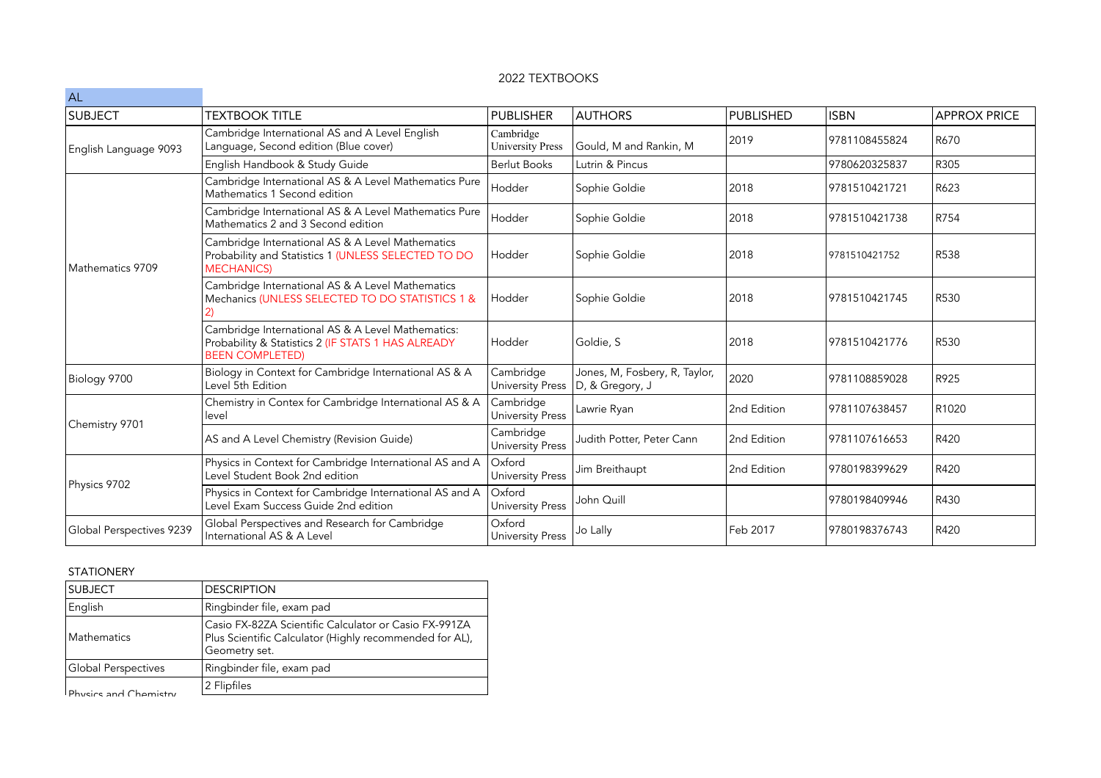## 2022 TEXTBOOKS

| AL                       |                                                                                                                                   |                                      |                                                  |             |               |                     |
|--------------------------|-----------------------------------------------------------------------------------------------------------------------------------|--------------------------------------|--------------------------------------------------|-------------|---------------|---------------------|
| SUBJECT                  | <b>TEXTBOOK TITLE</b>                                                                                                             | <b>PUBLISHER</b>                     | <b>AUTHORS</b>                                   | PUBLISHED   | <b>ISBN</b>   | <b>APPROX PRICE</b> |
| English Language 9093    | Cambridge International AS and A Level English<br>Language, Second edition (Blue cover)                                           | Cambridge<br><b>University Press</b> | Gould, M and Rankin, M                           | 2019        | 9781108455824 | R670                |
|                          | English Handbook & Study Guide                                                                                                    | <b>Berlut Books</b>                  | Lutrin & Pincus                                  |             | 9780620325837 | R305                |
| Mathematics 9709         | Cambridge International AS & A Level Mathematics Pure<br>Mathematics 1 Second edition                                             | Hodder                               | Sophie Goldie                                    | 2018        | 9781510421721 | R623                |
|                          | Cambridge International AS & A Level Mathematics Pure<br>Mathematics 2 and 3 Second edition                                       | Hodder                               | Sophie Goldie                                    | 2018        | 9781510421738 | R754                |
|                          | Cambridge International AS & A Level Mathematics<br>Probability and Statistics 1 (UNLESS SELECTED TO DO<br><b>MECHANICS)</b>      | Hodder                               | Sophie Goldie                                    | 2018        | 9781510421752 | <b>R538</b>         |
|                          | Cambridge International AS & A Level Mathematics<br>Mechanics (UNLESS SELECTED TO DO STATISTICS 1 &                               | Hodder                               | Sophie Goldie                                    | 2018        | 9781510421745 | R530                |
|                          | Cambridge International AS & A Level Mathematics:<br>Probability & Statistics 2 (IF STATS 1 HAS ALREADY<br><b>BEEN COMPLETED)</b> | Hodder                               | Goldie, S                                        | 2018        | 9781510421776 | R530                |
| Biology 9700             | Biology in Context for Cambridge International AS & A<br>Level 5th Edition                                                        | Cambridge<br><b>University Press</b> | Jones, M, Fosbery, R, Taylor,<br>D, & Gregory, J | 2020        | 9781108859028 | R925                |
| Chemistry 9701           | Chemistry in Contex for Cambridge International AS & A<br>level                                                                   | Cambridge<br>University Press        | Lawrie Ryan                                      | 2nd Edition | 9781107638457 | R1020               |
|                          | AS and A Level Chemistry (Revision Guide)                                                                                         | Cambridge<br><b>University Press</b> | Judith Potter, Peter Cann                        | 2nd Edition | 9781107616653 | R420                |
| Physics 9702             | Physics in Context for Cambridge International AS and A<br>Level Student Book 2nd edition                                         | Oxford<br><b>University Press</b>    | Jim Breithaupt                                   | 2nd Edition | 9780198399629 | R420                |
|                          | Physics in Context for Cambridge International AS and A<br>Level Exam Success Guide 2nd edition                                   | Oxford<br><b>University Press</b>    | John Quill                                       |             | 9780198409946 | R430                |
| Global Perspectives 9239 | Global Perspectives and Research for Cambridge<br>International AS & A Level                                                      | Oxford<br><b>University Press</b>    | Jo Lally                                         | Feb 2017    | 9780198376743 | R420                |

## STATIONERY

| <b>SUBJECT</b>        | <b>DESCRIPTION</b>                                                                                                                |
|-----------------------|-----------------------------------------------------------------------------------------------------------------------------------|
| English               | Ringbinder file, exam pad                                                                                                         |
| Mathematics           | Casio FX-82ZA Scientific Calculator or Casio FX-991ZA<br>Plus Scientific Calculator (Highly recommended for AL),<br>Geometry set. |
| Global Perspectives   | Ringbinder file, exam pad                                                                                                         |
| Physics and Chamistry | 2 Flipfiles                                                                                                                       |